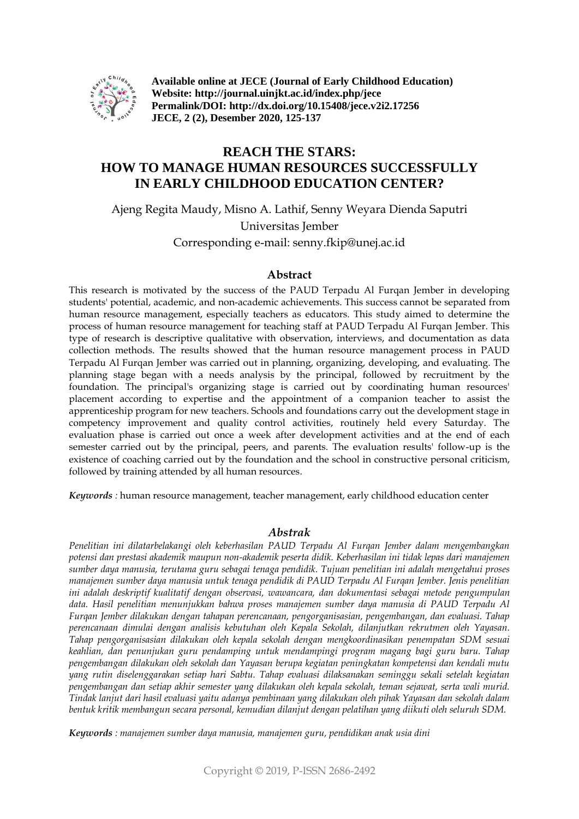

**Available online at JECE (Journal of Early Childhood Education) Website: http://journal.uinjkt.ac.id/index.php/jece Permalink/DOI: http://dx.doi.org/10.15408/jece.v2i2.17256 JECE, 2 (2), Desember 2020, 125-137**

# **REACH THE STARS: HOW TO MANAGE HUMAN RESOURCES SUCCESSFULLY IN EARLY CHILDHOOD EDUCATION CENTER?**

Ajeng Regita Maudy, Misno A. Lathif, Senny Weyara Dienda Saputri Universitas Jember Corresponding e-mail: senny.fkip@unej.ac.id

#### **Abstract**

This research is motivated by the success of the PAUD Terpadu Al Furqan Jember in developing students' potential, academic, and non-academic achievements. This success cannot be separated from human resource management, especially teachers as educators. This study aimed to determine the process of human resource management for teaching staff at PAUD Terpadu Al Furqan Jember. This type of research is descriptive qualitative with observation, interviews, and documentation as data collection methods. The results showed that the human resource management process in PAUD Terpadu Al Furqan Jember was carried out in planning, organizing, developing, and evaluating. The planning stage began with a needs analysis by the principal, followed by recruitment by the foundation. The principal's organizing stage is carried out by coordinating human resources' placement according to expertise and the appointment of a companion teacher to assist the apprenticeship program for new teachers. Schools and foundations carry out the development stage in competency improvement and quality control activities, routinely held every Saturday. The evaluation phase is carried out once a week after development activities and at the end of each semester carried out by the principal, peers, and parents. The evaluation results' follow-up is the existence of coaching carried out by the foundation and the school in constructive personal criticism, followed by training attended by all human resources.

*Keywords :* human resource management, teacher management, early childhood education center

#### *Abstrak*

*Penelitian ini dilatarbelakangi oleh keberhasilan PAUD Terpadu Al Furqan Jember dalam mengembangkan potensi dan prestasi akademik maupun non-akademik peserta didik. Keberhasilan ini tidak lepas dari manajemen sumber daya manusia, terutama guru sebagai tenaga pendidik. Tujuan penelitian ini adalah mengetahui proses manajemen sumber daya manusia untuk tenaga pendidik di PAUD Terpadu Al Furqan Jember. Jenis penelitian ini adalah deskriptif kualitatif dengan observasi, wawancara, dan dokumentasi sebagai metode pengumpulan data. Hasil penelitian menunjukkan bahwa proses manajemen sumber daya manusia di PAUD Terpadu Al Furqan Jember dilakukan dengan tahapan perencanaan, pengorganisasian, pengembangan, dan evaluasi. Tahap perencanaan dimulai dengan analisis kebutuhan oleh Kepala Sekolah, dilanjutkan rekrutmen oleh Yayasan. Tahap pengorganisasian dilakukan oleh kepala sekolah dengan mengkoordinasikan penempatan SDM sesuai keahlian, dan penunjukan guru pendamping untuk mendampingi program magang bagi guru baru. Tahap pengembangan dilakukan oleh sekolah dan Yayasan berupa kegiatan peningkatan kompetensi dan kendali mutu yang rutin diselenggarakan setiap hari Sabtu. Tahap evaluasi dilaksanakan seminggu sekali setelah kegiatan pengembangan dan setiap akhir semester yang dilakukan oleh kepala sekolah, teman sejawat, serta wali murid. Tindak lanjut dari hasil evaluasi yaitu adanya pembinaan yang dilakukan oleh pihak Yayasan dan sekolah dalam bentuk kritik membangun secara personal, kemudian dilanjut dengan pelatihan yang diikuti oleh seluruh SDM.*

*Keywords : manajemen sumber daya manusia, manajemen guru, pendidikan anak usia dini*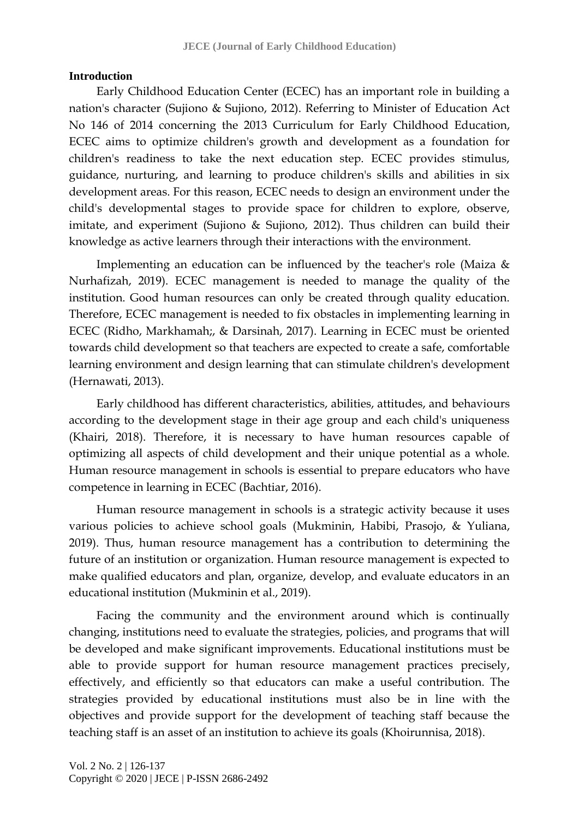### **Introduction**

Early Childhood Education Center (ECEC) has an important role in building a nation's character (Sujiono & Sujiono, 2012). Referring to Minister of Education Act No 146 of 2014 concerning the 2013 Curriculum for Early Childhood Education, ECEC aims to optimize children's growth and development as a foundation for children's readiness to take the next education step. ECEC provides stimulus, guidance, nurturing, and learning to produce children's skills and abilities in six development areas. For this reason, ECEC needs to design an environment under the child's developmental stages to provide space for children to explore, observe, imitate, and experiment (Sujiono & Sujiono, 2012). Thus children can build their knowledge as active learners through their interactions with the environment.

Implementing an education can be influenced by the teacher's role (Maiza & Nurhafizah, 2019). ECEC management is needed to manage the quality of the institution. Good human resources can only be created through quality education. Therefore, ECEC management is needed to fix obstacles in implementing learning in ECEC (Ridho, Markhamah;, & Darsinah, 2017). Learning in ECEC must be oriented towards child development so that teachers are expected to create a safe, comfortable learning environment and design learning that can stimulate children's development (Hernawati, 2013).

Early childhood has different characteristics, abilities, attitudes, and behaviours according to the development stage in their age group and each child's uniqueness (Khairi, 2018). Therefore, it is necessary to have human resources capable of optimizing all aspects of child development and their unique potential as a whole. Human resource management in schools is essential to prepare educators who have competence in learning in ECEC (Bachtiar, 2016).

Human resource management in schools is a strategic activity because it uses various policies to achieve school goals (Mukminin, Habibi, Prasojo, & Yuliana, 2019). Thus, human resource management has a contribution to determining the future of an institution or organization. Human resource management is expected to make qualified educators and plan, organize, develop, and evaluate educators in an educational institution (Mukminin et al., 2019).

Facing the community and the environment around which is continually changing, institutions need to evaluate the strategies, policies, and programs that will be developed and make significant improvements. Educational institutions must be able to provide support for human resource management practices precisely, effectively, and efficiently so that educators can make a useful contribution. The strategies provided by educational institutions must also be in line with the objectives and provide support for the development of teaching staff because the teaching staff is an asset of an institution to achieve its goals (Khoirunnisa, 2018).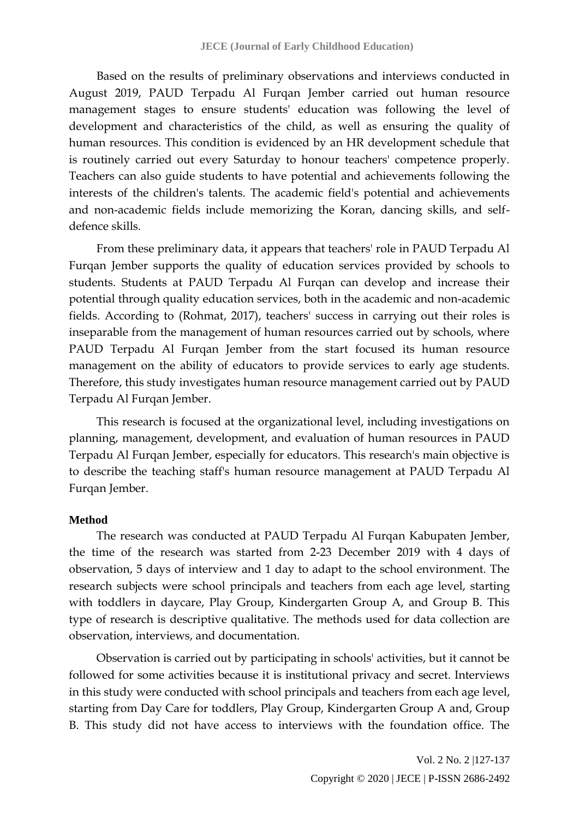Based on the results of preliminary observations and interviews conducted in August 2019, PAUD Terpadu Al Furqan Jember carried out human resource management stages to ensure students' education was following the level of development and characteristics of the child, as well as ensuring the quality of human resources. This condition is evidenced by an HR development schedule that is routinely carried out every Saturday to honour teachers' competence properly. Teachers can also guide students to have potential and achievements following the interests of the children's talents. The academic field's potential and achievements and non-academic fields include memorizing the Koran, dancing skills, and selfdefence skills.

From these preliminary data, it appears that teachers' role in PAUD Terpadu Al Furqan Jember supports the quality of education services provided by schools to students. Students at PAUD Terpadu Al Furqan can develop and increase their potential through quality education services, both in the academic and non-academic fields. According to (Rohmat, 2017), teachers' success in carrying out their roles is inseparable from the management of human resources carried out by schools, where PAUD Terpadu Al Furqan Jember from the start focused its human resource management on the ability of educators to provide services to early age students. Therefore, this study investigates human resource management carried out by PAUD Terpadu Al Furqan Jember.

This research is focused at the organizational level, including investigations on planning, management, development, and evaluation of human resources in PAUD Terpadu Al Furqan Jember, especially for educators. This research's main objective is to describe the teaching staff's human resource management at PAUD Terpadu Al Furqan Jember.

#### **Method**

The research was conducted at PAUD Terpadu Al Furqan Kabupaten Jember, the time of the research was started from 2-23 December 2019 with 4 days of observation, 5 days of interview and 1 day to adapt to the school environment. The research subjects were school principals and teachers from each age level, starting with toddlers in daycare, Play Group, Kindergarten Group A, and Group B. This type of research is descriptive qualitative. The methods used for data collection are observation, interviews, and documentation.

Observation is carried out by participating in schools' activities, but it cannot be followed for some activities because it is institutional privacy and secret. Interviews in this study were conducted with school principals and teachers from each age level, starting from Day Care for toddlers, Play Group, Kindergarten Group A and, Group B. This study did not have access to interviews with the foundation office. The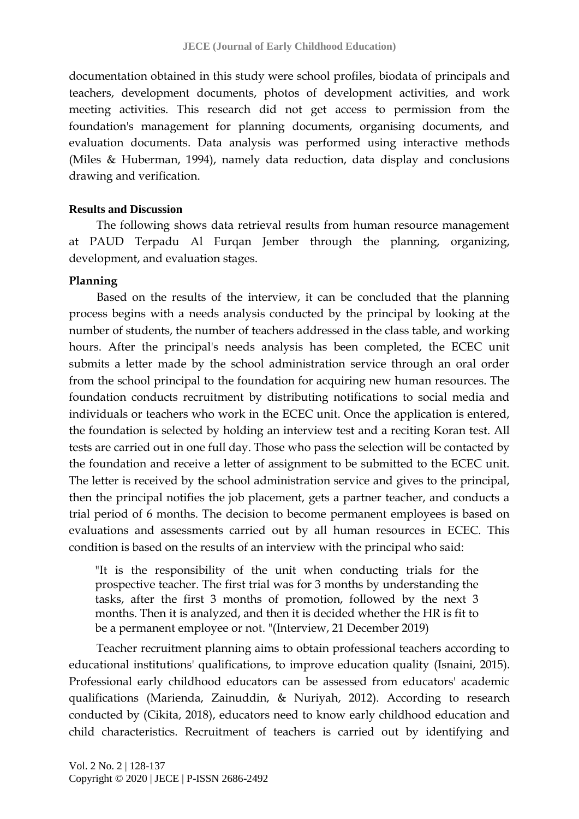documentation obtained in this study were school profiles, biodata of principals and teachers, development documents, photos of development activities, and work meeting activities. This research did not get access to permission from the foundation's management for planning documents, organising documents, and evaluation documents. Data analysis was performed using interactive methods (Miles & Huberman, 1994), namely data reduction, data display and conclusions drawing and verification.

## **Results and Discussion**

The following shows data retrieval results from human resource management at PAUD Terpadu Al Furqan Jember through the planning, organizing, development, and evaluation stages.

## **Planning**

Based on the results of the interview, it can be concluded that the planning process begins with a needs analysis conducted by the principal by looking at the number of students, the number of teachers addressed in the class table, and working hours. After the principal's needs analysis has been completed, the ECEC unit submits a letter made by the school administration service through an oral order from the school principal to the foundation for acquiring new human resources. The foundation conducts recruitment by distributing notifications to social media and individuals or teachers who work in the ECEC unit. Once the application is entered, the foundation is selected by holding an interview test and a reciting Koran test. All tests are carried out in one full day. Those who pass the selection will be contacted by the foundation and receive a letter of assignment to be submitted to the ECEC unit. The letter is received by the school administration service and gives to the principal, then the principal notifies the job placement, gets a partner teacher, and conducts a trial period of 6 months. The decision to become permanent employees is based on evaluations and assessments carried out by all human resources in ECEC. This condition is based on the results of an interview with the principal who said:

"It is the responsibility of the unit when conducting trials for the prospective teacher. The first trial was for 3 months by understanding the tasks, after the first 3 months of promotion, followed by the next 3 months. Then it is analyzed, and then it is decided whether the HR is fit to be a permanent employee or not. "(Interview, 21 December 2019)

Teacher recruitment planning aims to obtain professional teachers according to educational institutions' qualifications, to improve education quality (Isnaini, 2015). Professional early childhood educators can be assessed from educators' academic qualifications (Marienda, Zainuddin, & Nuriyah, 2012). According to research conducted by (Cikita, 2018), educators need to know early childhood education and child characteristics. Recruitment of teachers is carried out by identifying and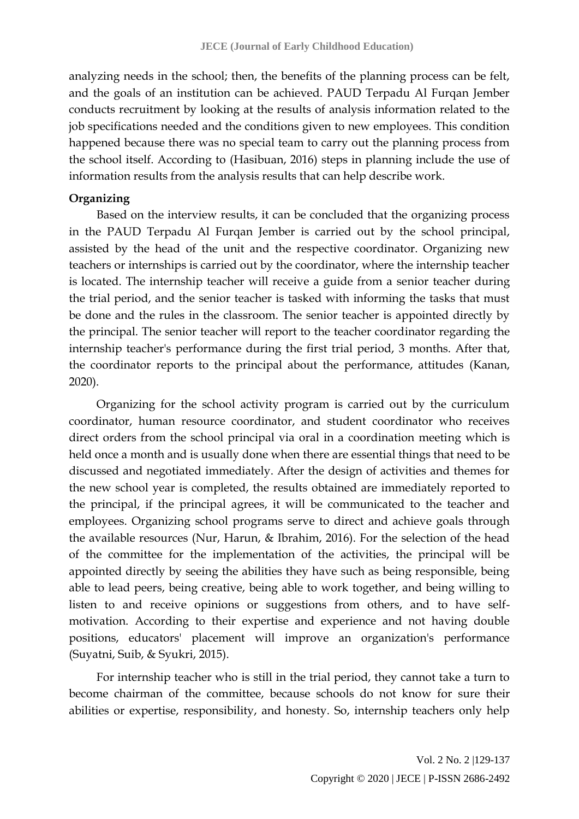analyzing needs in the school; then, the benefits of the planning process can be felt, and the goals of an institution can be achieved. PAUD Terpadu Al Furqan Jember conducts recruitment by looking at the results of analysis information related to the job specifications needed and the conditions given to new employees. This condition happened because there was no special team to carry out the planning process from the school itself. According to (Hasibuan, 2016) steps in planning include the use of information results from the analysis results that can help describe work.

# **Organizing**

Based on the interview results, it can be concluded that the organizing process in the PAUD Terpadu Al Furqan Jember is carried out by the school principal, assisted by the head of the unit and the respective coordinator. Organizing new teachers or internships is carried out by the coordinator, where the internship teacher is located. The internship teacher will receive a guide from a senior teacher during the trial period, and the senior teacher is tasked with informing the tasks that must be done and the rules in the classroom. The senior teacher is appointed directly by the principal. The senior teacher will report to the teacher coordinator regarding the internship teacher's performance during the first trial period, 3 months. After that, the coordinator reports to the principal about the performance, attitudes (Kanan, 2020).

Organizing for the school activity program is carried out by the curriculum coordinator, human resource coordinator, and student coordinator who receives direct orders from the school principal via oral in a coordination meeting which is held once a month and is usually done when there are essential things that need to be discussed and negotiated immediately. After the design of activities and themes for the new school year is completed, the results obtained are immediately reported to the principal, if the principal agrees, it will be communicated to the teacher and employees. Organizing school programs serve to direct and achieve goals through the available resources (Nur, Harun, & Ibrahim, 2016). For the selection of the head of the committee for the implementation of the activities, the principal will be appointed directly by seeing the abilities they have such as being responsible, being able to lead peers, being creative, being able to work together, and being willing to listen to and receive opinions or suggestions from others, and to have selfmotivation. According to their expertise and experience and not having double positions, educators' placement will improve an organization's performance (Suyatni, Suib, & Syukri, 2015).

For internship teacher who is still in the trial period, they cannot take a turn to become chairman of the committee, because schools do not know for sure their abilities or expertise, responsibility, and honesty. So, internship teachers only help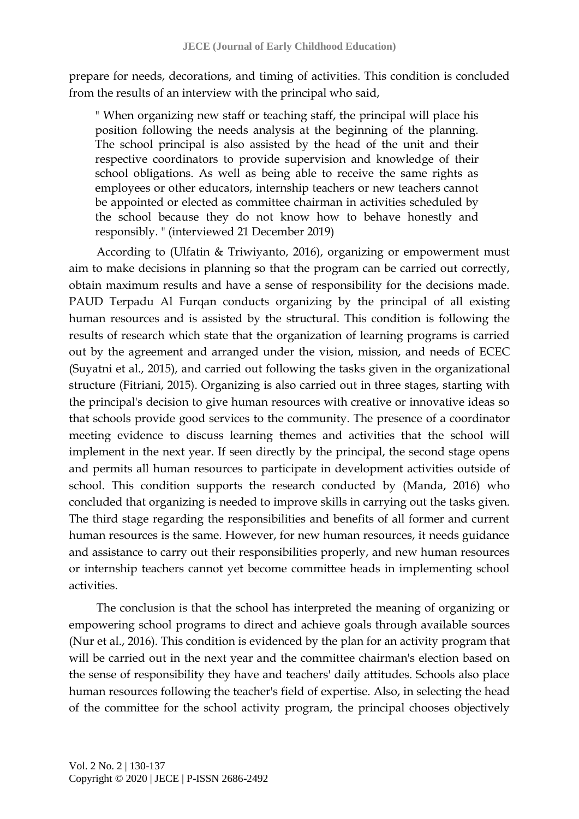prepare for needs, decorations, and timing of activities. This condition is concluded from the results of an interview with the principal who said,

" When organizing new staff or teaching staff, the principal will place his position following the needs analysis at the beginning of the planning. The school principal is also assisted by the head of the unit and their respective coordinators to provide supervision and knowledge of their school obligations. As well as being able to receive the same rights as employees or other educators, internship teachers or new teachers cannot be appointed or elected as committee chairman in activities scheduled by the school because they do not know how to behave honestly and responsibly. " (interviewed 21 December 2019)

According to (Ulfatin & Triwiyanto, 2016), organizing or empowerment must aim to make decisions in planning so that the program can be carried out correctly, obtain maximum results and have a sense of responsibility for the decisions made. PAUD Terpadu Al Furqan conducts organizing by the principal of all existing human resources and is assisted by the structural. This condition is following the results of research which state that the organization of learning programs is carried out by the agreement and arranged under the vision, mission, and needs of ECEC (Suyatni et al., 2015), and carried out following the tasks given in the organizational structure (Fitriani, 2015). Organizing is also carried out in three stages, starting with the principal's decision to give human resources with creative or innovative ideas so that schools provide good services to the community. The presence of a coordinator meeting evidence to discuss learning themes and activities that the school will implement in the next year. If seen directly by the principal, the second stage opens and permits all human resources to participate in development activities outside of school. This condition supports the research conducted by (Manda, 2016) who concluded that organizing is needed to improve skills in carrying out the tasks given. The third stage regarding the responsibilities and benefits of all former and current human resources is the same. However, for new human resources, it needs guidance and assistance to carry out their responsibilities properly, and new human resources or internship teachers cannot yet become committee heads in implementing school activities.

The conclusion is that the school has interpreted the meaning of organizing or empowering school programs to direct and achieve goals through available sources (Nur et al., 2016). This condition is evidenced by the plan for an activity program that will be carried out in the next year and the committee chairman's election based on the sense of responsibility they have and teachers' daily attitudes. Schools also place human resources following the teacher's field of expertise. Also, in selecting the head of the committee for the school activity program, the principal chooses objectively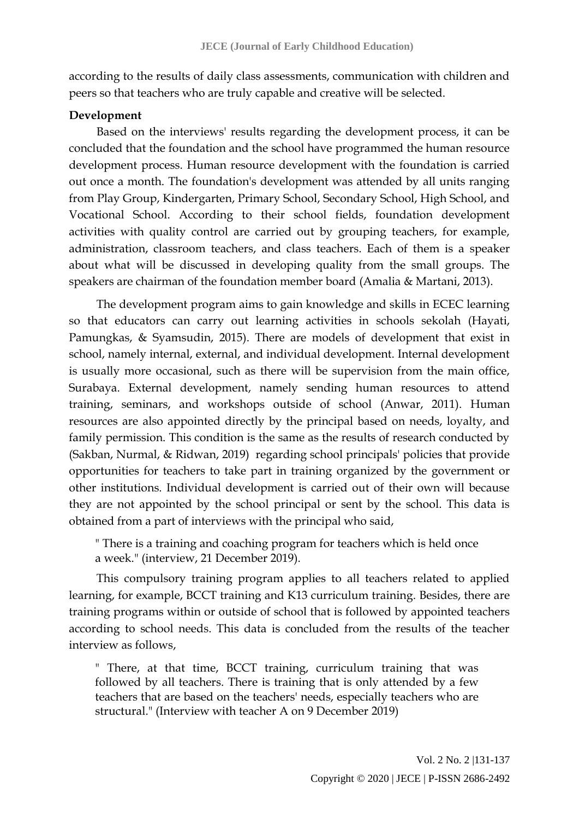according to the results of daily class assessments, communication with children and peers so that teachers who are truly capable and creative will be selected.

## **Development**

Based on the interviews' results regarding the development process, it can be concluded that the foundation and the school have programmed the human resource development process. Human resource development with the foundation is carried out once a month. The foundation's development was attended by all units ranging from Play Group, Kindergarten, Primary School, Secondary School, High School, and Vocational School. According to their school fields, foundation development activities with quality control are carried out by grouping teachers, for example, administration, classroom teachers, and class teachers. Each of them is a speaker about what will be discussed in developing quality from the small groups. The speakers are chairman of the foundation member board (Amalia & Martani, 2013).

The development program aims to gain knowledge and skills in ECEC learning so that educators can carry out learning activities in schools sekolah (Hayati, Pamungkas, & Syamsudin, 2015). There are models of development that exist in school, namely internal, external, and individual development. Internal development is usually more occasional, such as there will be supervision from the main office, Surabaya. External development, namely sending human resources to attend training, seminars, and workshops outside of school (Anwar, 2011). Human resources are also appointed directly by the principal based on needs, loyalty, and family permission. This condition is the same as the results of research conducted by (Sakban, Nurmal, & Ridwan, 2019) regarding school principals' policies that provide opportunities for teachers to take part in training organized by the government or other institutions. Individual development is carried out of their own will because they are not appointed by the school principal or sent by the school. This data is obtained from a part of interviews with the principal who said,

" There is a training and coaching program for teachers which is held once a week." (interview, 21 December 2019).

This compulsory training program applies to all teachers related to applied learning, for example, BCCT training and K13 curriculum training. Besides, there are training programs within or outside of school that is followed by appointed teachers according to school needs. This data is concluded from the results of the teacher interview as follows,

" There, at that time, BCCT training, curriculum training that was followed by all teachers. There is training that is only attended by a few teachers that are based on the teachers' needs, especially teachers who are structural." (Interview with teacher A on 9 December 2019)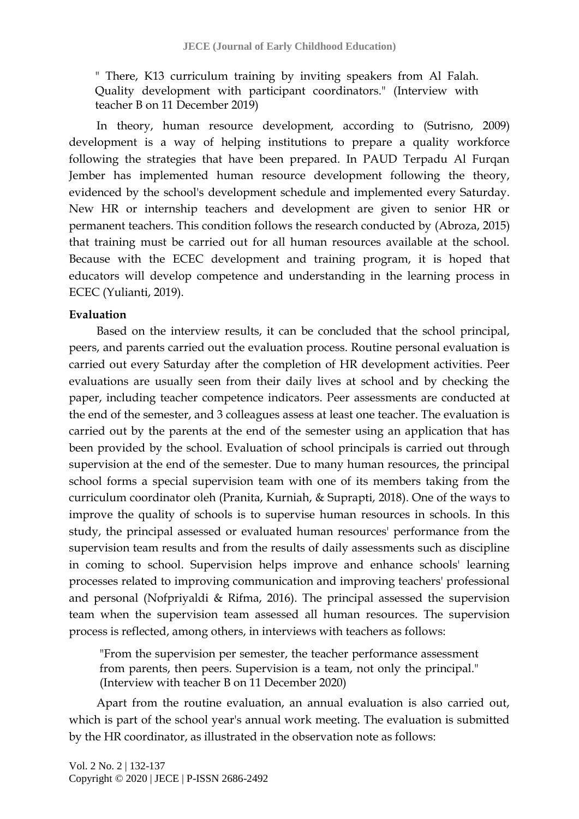" There, K13 curriculum training by inviting speakers from Al Falah. Quality development with participant coordinators." (Interview with teacher B on 11 December 2019)

In theory, human resource development, according to (Sutrisno, 2009) development is a way of helping institutions to prepare a quality workforce following the strategies that have been prepared. In PAUD Terpadu Al Furqan Jember has implemented human resource development following the theory, evidenced by the school's development schedule and implemented every Saturday. New HR or internship teachers and development are given to senior HR or permanent teachers. This condition follows the research conducted by (Abroza, 2015) that training must be carried out for all human resources available at the school. Because with the ECEC development and training program, it is hoped that educators will develop competence and understanding in the learning process in ECEC (Yulianti, 2019).

## **Evaluation**

Based on the interview results, it can be concluded that the school principal, peers, and parents carried out the evaluation process. Routine personal evaluation is carried out every Saturday after the completion of HR development activities. Peer evaluations are usually seen from their daily lives at school and by checking the paper, including teacher competence indicators. Peer assessments are conducted at the end of the semester, and 3 colleagues assess at least one teacher. The evaluation is carried out by the parents at the end of the semester using an application that has been provided by the school. Evaluation of school principals is carried out through supervision at the end of the semester. Due to many human resources, the principal school forms a special supervision team with one of its members taking from the curriculum coordinator oleh (Pranita, Kurniah, & Suprapti, 2018). One of the ways to improve the quality of schools is to supervise human resources in schools. In this study, the principal assessed or evaluated human resources' performance from the supervision team results and from the results of daily assessments such as discipline in coming to school. Supervision helps improve and enhance schools' learning processes related to improving communication and improving teachers' professional and personal (Nofpriyaldi & Rifma, 2016). The principal assessed the supervision team when the supervision team assessed all human resources. The supervision process is reflected, among others, in interviews with teachers as follows:

"From the supervision per semester, the teacher performance assessment from parents, then peers. Supervision is a team, not only the principal." (Interview with teacher B on 11 December 2020)

Apart from the routine evaluation, an annual evaluation is also carried out, which is part of the school year's annual work meeting. The evaluation is submitted by the HR coordinator, as illustrated in the observation note as follows: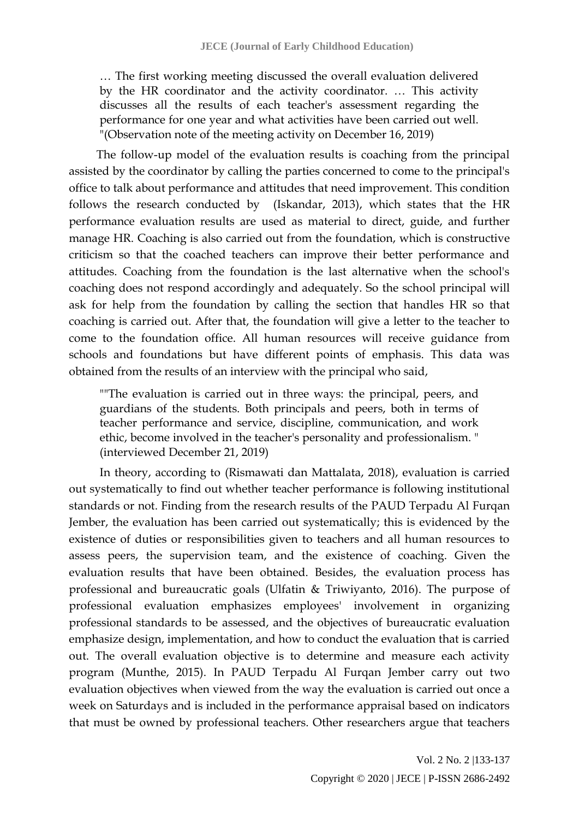… The first working meeting discussed the overall evaluation delivered by the HR coordinator and the activity coordinator. … This activity discusses all the results of each teacher's assessment regarding the performance for one year and what activities have been carried out well. "(Observation note of the meeting activity on December 16, 2019)

The follow-up model of the evaluation results is coaching from the principal assisted by the coordinator by calling the parties concerned to come to the principal's office to talk about performance and attitudes that need improvement. This condition follows the research conducted by (Iskandar, 2013), which states that the HR performance evaluation results are used as material to direct, guide, and further manage HR. Coaching is also carried out from the foundation, which is constructive criticism so that the coached teachers can improve their better performance and attitudes. Coaching from the foundation is the last alternative when the school's coaching does not respond accordingly and adequately. So the school principal will ask for help from the foundation by calling the section that handles HR so that coaching is carried out. After that, the foundation will give a letter to the teacher to come to the foundation office. All human resources will receive guidance from schools and foundations but have different points of emphasis. This data was obtained from the results of an interview with the principal who said,

""The evaluation is carried out in three ways: the principal, peers, and guardians of the students. Both principals and peers, both in terms of teacher performance and service, discipline, communication, and work ethic, become involved in the teacher's personality and professionalism. " (interviewed December 21, 2019)

In theory, according to (Rismawati dan Mattalata, 2018), evaluation is carried out systematically to find out whether teacher performance is following institutional standards or not. Finding from the research results of the PAUD Terpadu Al Furqan Jember, the evaluation has been carried out systematically; this is evidenced by the existence of duties or responsibilities given to teachers and all human resources to assess peers, the supervision team, and the existence of coaching. Given the evaluation results that have been obtained. Besides, the evaluation process has professional and bureaucratic goals (Ulfatin & Triwiyanto, 2016). The purpose of professional evaluation emphasizes employees' involvement in organizing professional standards to be assessed, and the objectives of bureaucratic evaluation emphasize design, implementation, and how to conduct the evaluation that is carried out. The overall evaluation objective is to determine and measure each activity program (Munthe, 2015). In PAUD Terpadu Al Furqan Jember carry out two evaluation objectives when viewed from the way the evaluation is carried out once a week on Saturdays and is included in the performance appraisal based on indicators that must be owned by professional teachers. Other researchers argue that teachers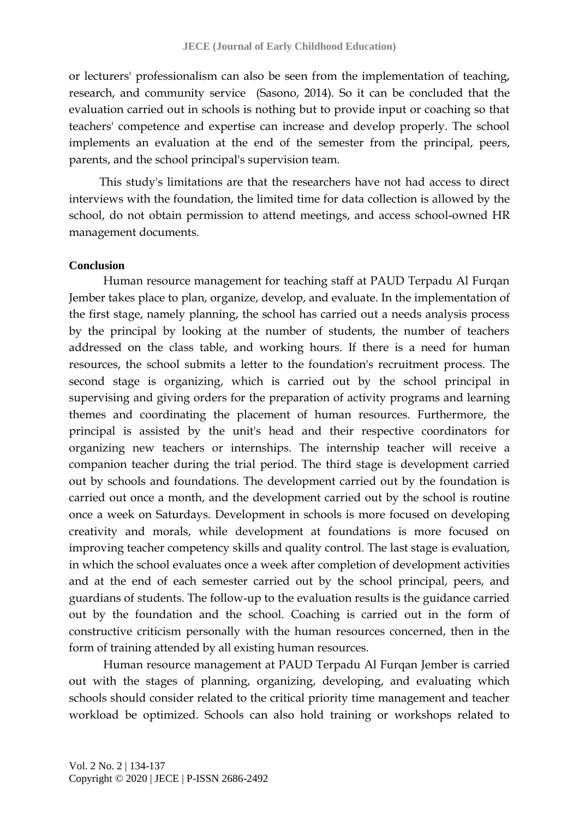or lecturers' professionalism can also be seen from the implementation of teaching, research, and community service (Sasono, 2014). So it can be concluded that the evaluation carried out in schools is nothing but to provide input or coaching so that teachers' competence and expertise can increase and develop properly. The school implements an evaluation at the end of the semester from the principal, peers, parents, and the school principal's supervision team.

This study's limitations are that the researchers have not had access to direct interviews with the foundation, the limited time for data collection is allowed by the school, do not obtain permission to attend meetings, and access school-owned HR management documents.

#### **Conclusion**

Human resource management for teaching staff at PAUD Terpadu Al Furqan Jember takes place to plan, organize, develop, and evaluate. In the implementation of the first stage, namely planning, the school has carried out a needs analysis process by the principal by looking at the number of students, the number of teachers addressed on the class table, and working hours. If there is a need for human resources, the school submits a letter to the foundation's recruitment process. The second stage is organizing, which is carried out by the school principal in supervising and giving orders for the preparation of activity programs and learning themes and coordinating the placement of human resources. Furthermore, the principal is assisted by the unit's head and their respective coordinators for organizing new teachers or internships. The internship teacher will receive a companion teacher during the trial period. The third stage is development carried out by schools and foundations. The development carried out by the foundation is carried out once a month, and the development carried out by the school is routine once a week on Saturdays. Development in schools is more focused on developing creativity and morals, while development at foundations is more focused on improving teacher competency skills and quality control. The last stage is evaluation, in which the school evaluates once a week after completion of development activities and at the end of each semester carried out by the school principal, peers, and guardians of students. The follow-up to the evaluation results is the guidance carried out by the foundation and the school. Coaching is carried out in the form of constructive criticism personally with the human resources concerned, then in the form of training attended by all existing human resources.

Human resource management at PAUD Terpadu Al Furqan Jember is carried out with the stages of planning, organizing, developing, and evaluating which schools should consider related to the critical priority time management and teacher workload be optimized. Schools can also hold training or workshops related to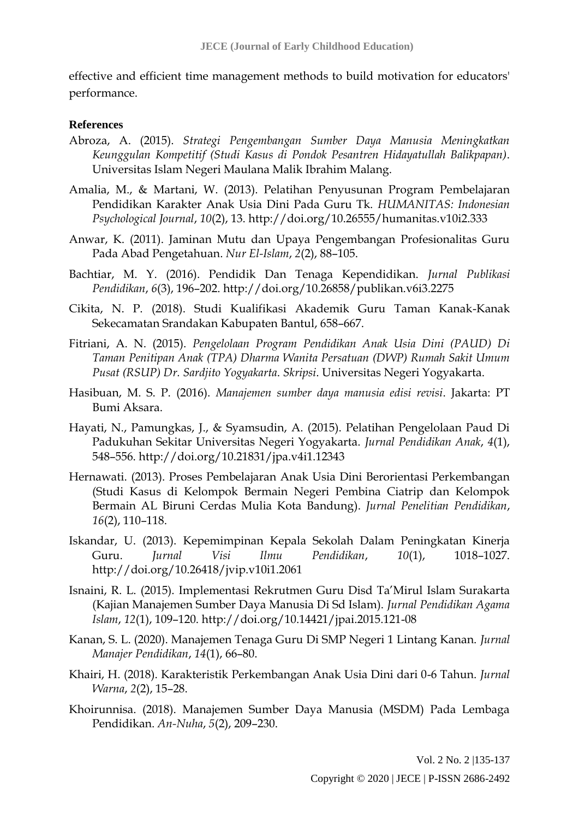effective and efficient time management methods to build motivation for educators' performance.

### **References**

- Abroza, A. (2015). *Strategi Pengembangan Sumber Daya Manusia Meningkatkan Keunggulan Kompetitif (Studi Kasus di Pondok Pesantren Hidayatullah Balikpapan)*. Universitas Islam Negeri Maulana Malik Ibrahim Malang.
- Amalia, M., & Martani, W. (2013). Pelatihan Penyusunan Program Pembelajaran Pendidikan Karakter Anak Usia Dini Pada Guru Tk. *HUMANITAS: Indonesian Psychological Journal*, *10*(2), 13. http://doi.org/10.26555/humanitas.v10i2.333
- Anwar, K. (2011). Jaminan Mutu dan Upaya Pengembangan Profesionalitas Guru Pada Abad Pengetahuan. *Nur El-Islam*, *2*(2), 88–105.
- Bachtiar, M. Y. (2016). Pendidik Dan Tenaga Kependidikan. *Jurnal Publikasi Pendidikan*, *6*(3), 196–202. http://doi.org/10.26858/publikan.v6i3.2275
- Cikita, N. P. (2018). Studi Kualifikasi Akademik Guru Taman Kanak-Kanak Sekecamatan Srandakan Kabupaten Bantul, 658–667.
- Fitriani, A. N. (2015). *Pengelolaan Program Pendidikan Anak Usia Dini (PAUD) Di Taman Penitipan Anak (TPA) Dharma Wanita Persatuan (DWP) Rumah Sakit Umum Pusat (RSUP) Dr. Sardjito Yogyakarta*. *Skripsi*. Universitas Negeri Yogyakarta.
- Hasibuan, M. S. P. (2016). *Manajemen sumber daya manusia edisi revisi*. Jakarta: PT Bumi Aksara.
- Hayati, N., Pamungkas, J., & Syamsudin, A. (2015). Pelatihan Pengelolaan Paud Di Padukuhan Sekitar Universitas Negeri Yogyakarta. *Jurnal Pendidikan Anak*, *4*(1), 548–556. http://doi.org/10.21831/jpa.v4i1.12343
- Hernawati. (2013). Proses Pembelajaran Anak Usia Dini Berorientasi Perkembangan (Studi Kasus di Kelompok Bermain Negeri Pembina Ciatrip dan Kelompok Bermain AL Biruni Cerdas Mulia Kota Bandung). *Jurnal Penelitian Pendidikan*, *16*(2), 110–118.
- Iskandar, U. (2013). Kepemimpinan Kepala Sekolah Dalam Peningkatan Kinerja Guru. *Jurnal Visi Ilmu Pendidikan*, *10*(1), 1018–1027. http://doi.org/10.26418/jvip.v10i1.2061
- Isnaini, R. L. (2015). Implementasi Rekrutmen Guru Disd Ta'Mirul Islam Surakarta (Kajian Manajemen Sumber Daya Manusia Di Sd Islam). *Jurnal Pendidikan Agama Islam*, *12*(1), 109–120. http://doi.org/10.14421/jpai.2015.121-08
- Kanan, S. L. (2020). Manajemen Tenaga Guru Di SMP Negeri 1 Lintang Kanan. *Jurnal Manajer Pendidikan*, *14*(1), 66–80.
- Khairi, H. (2018). Karakteristik Perkembangan Anak Usia Dini dari 0-6 Tahun. *Jurnal Warna*, *2*(2), 15–28.
- Khoirunnisa. (2018). Manajemen Sumber Daya Manusia (MSDM) Pada Lembaga Pendidikan. *An-Nuha*, *5*(2), 209–230.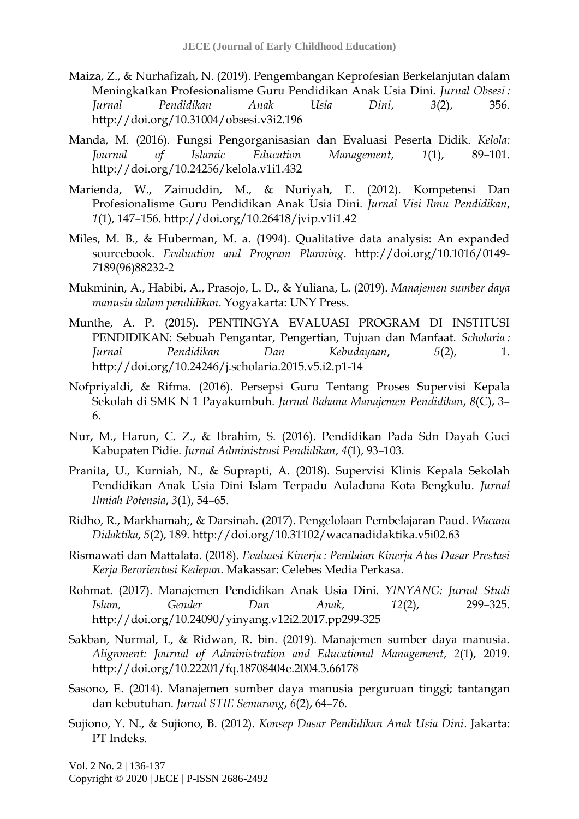- Maiza, Z., & Nurhafizah, N. (2019). Pengembangan Keprofesian Berkelanjutan dalam Meningkatkan Profesionalisme Guru Pendidikan Anak Usia Dini. *Jurnal Obsesi : Jurnal Pendidikan Anak Usia Dini*, *3*(2), 356. http://doi.org/10.31004/obsesi.v3i2.196
- Manda, M. (2016). Fungsi Pengorganisasian dan Evaluasi Peserta Didik. *Kelola: Journal of Islamic Education Management*, *1*(1), 89–101. http://doi.org/10.24256/kelola.v1i1.432
- Marienda, W., Zainuddin, M., & Nuriyah, E. (2012). Kompetensi Dan Profesionalisme Guru Pendidikan Anak Usia Dini. *Jurnal Visi Ilmu Pendidikan*, *1*(1), 147–156. http://doi.org/10.26418/jvip.v1i1.42
- Miles, M. B., & Huberman, M. a. (1994). Qualitative data analysis: An expanded sourcebook. *Evaluation and Program Planning*. http://doi.org/10.1016/0149- 7189(96)88232-2
- Mukminin, A., Habibi, A., Prasojo, L. D., & Yuliana, L. (2019). *Manajemen sumber daya manusia dalam pendidikan*. Yogyakarta: UNY Press.
- Munthe, A. P. (2015). PENTINGYA EVALUASI PROGRAM DI INSTITUSI PENDIDIKAN: Sebuah Pengantar, Pengertian, Tujuan dan Manfaat. *Scholaria : Jurnal Pendidikan Dan Kebudayaan*, *5*(2), 1. http://doi.org/10.24246/j.scholaria.2015.v5.i2.p1-14
- Nofpriyaldi, & Rifma. (2016). Persepsi Guru Tentang Proses Supervisi Kepala Sekolah di SMK N 1 Payakumbuh. *Jurnal Bahana Manajemen Pendidikan*, *8*(C), 3– 6.
- Nur, M., Harun, C. Z., & Ibrahim, S. (2016). Pendidikan Pada Sdn Dayah Guci Kabupaten Pidie. *Jurnal Administrasi Pendidikan*, *4*(1), 93–103.
- Pranita, U., Kurniah, N., & Suprapti, A. (2018). Supervisi Klinis Kepala Sekolah Pendidikan Anak Usia Dini Islam Terpadu Auladuna Kota Bengkulu. *Jurnal Ilmiah Potensia*, *3*(1), 54–65.
- Ridho, R., Markhamah;, & Darsinah. (2017). Pengelolaan Pembelajaran Paud. *Wacana Didaktika*, *5*(2), 189. http://doi.org/10.31102/wacanadidaktika.v5i02.63
- Rismawati dan Mattalata. (2018). *Evaluasi Kinerja : Penilaian Kinerja Atas Dasar Prestasi Kerja Berorientasi Kedepan*. Makassar: Celebes Media Perkasa.
- Rohmat. (2017). Manajemen Pendidikan Anak Usia Dini. *YINYANG: Jurnal Studi Islam, Gender Dan Anak*, *12*(2), 299–325. http://doi.org/10.24090/yinyang.v12i2.2017.pp299-325
- Sakban, Nurmal, I., & Ridwan, R. bin. (2019). Manajemen sumber daya manusia. *Alignment: Journal of Administration and Educational Management*, *2*(1), 2019. http://doi.org/10.22201/fq.18708404e.2004.3.66178
- Sasono, E. (2014). Manajemen sumber daya manusia perguruan tinggi; tantangan dan kebutuhan. *Jurnal STIE Semarang*, *6*(2), 64–76.
- Sujiono, Y. N., & Sujiono, B. (2012). *Konsep Dasar Pendidikan Anak Usia Dini*. Jakarta: PT Indeks.

Vol. 2 No. 2 | 136-137 Copyright © 2020 | JECE | P-ISSN 2686-2492